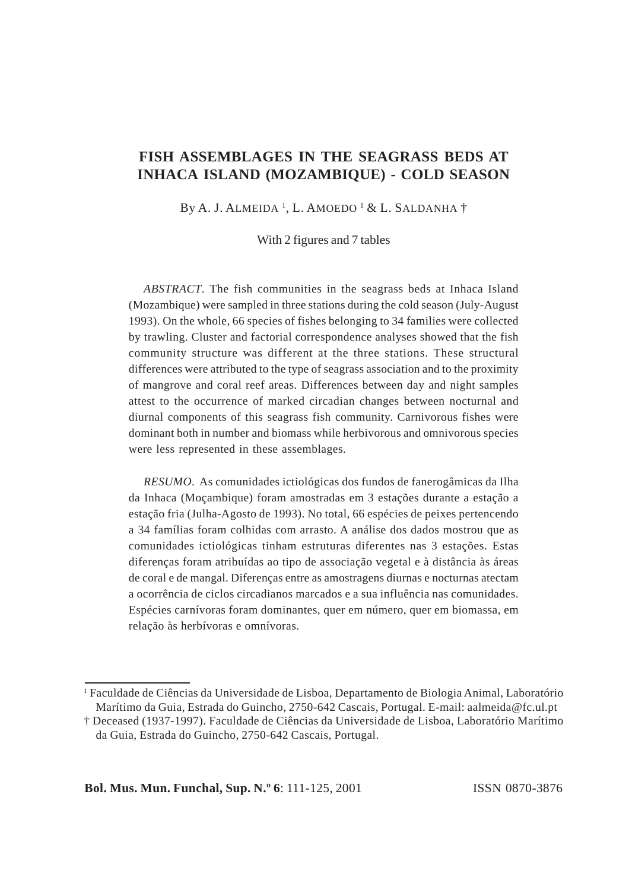# **FISH ASSEMBLAGES IN THE SEAGRASS BEDS AT INHACA ISLAND (MOZAMBIQUE) - COLD SEASON**

By A. J. Almeida <sup>1</sup>, L. Amoedo <sup>1</sup> & L. Saldanha†

With 2 figures and 7 tables

*ABSTRACT*. The fish communities in the seagrass beds at Inhaca Island (Mozambique) were sampled in three stations during the cold season (July-August 1993). On the whole, 66 species of fishes belonging to 34 families were collected by trawling. Cluster and factorial correspondence analyses showed that the fish community structure was different at the three stations. These structural differences were attributed to the type of seagrass association and to the proximity of mangrove and coral reef areas. Differences between day and night samples attest to the occurrence of marked circadian changes between nocturnal and diurnal components of this seagrass fish community. Carnivorous fishes were dominant both in number and biomass while herbivorous and omnivorous species were less represented in these assemblages.

*RESUMO*. As comunidades ictiológicas dos fundos de fanerogâmicas da Ilha da Inhaca (Moçambique) foram amostradas em 3 estações durante a estação a estação fria (Julha-Agosto de 1993). No total, 66 espécies de peixes pertencendo a 34 famílias foram colhidas com arrasto. A análise dos dados mostrou que as comunidades ictiológicas tinham estruturas diferentes nas 3 estações. Estas diferenças foram atribuídas ao tipo de associação vegetal e à distância às áreas de coral e de mangal. Diferenças entre as amostragens diurnas e nocturnas atectam a ocorrência de ciclos circadianos marcados e a sua influência nas comunidades. Espécies carnívoras foram dominantes, quer em número, quer em biomassa, em relação às herbívoras e omnívoras.

**Bol. Mus. Mun. Funchal, Sup. N.º 6**: 111-125, 2001 **ISSN** 0870-3876

<sup>1</sup> Faculdade de Ciências da Universidade de Lisboa, Departamento de Biologia Animal, Laboratório Marítimo da Guia, Estrada do Guincho, 2750-642 Cascais, Portugal. E-mail: aalmeida@fc.ul.pt

<sup>†</sup> Deceased (1937-1997). Faculdade de Ciências da Universidade de Lisboa, Laboratório Marítimo da Guia, Estrada do Guincho, 2750-642 Cascais, Portugal.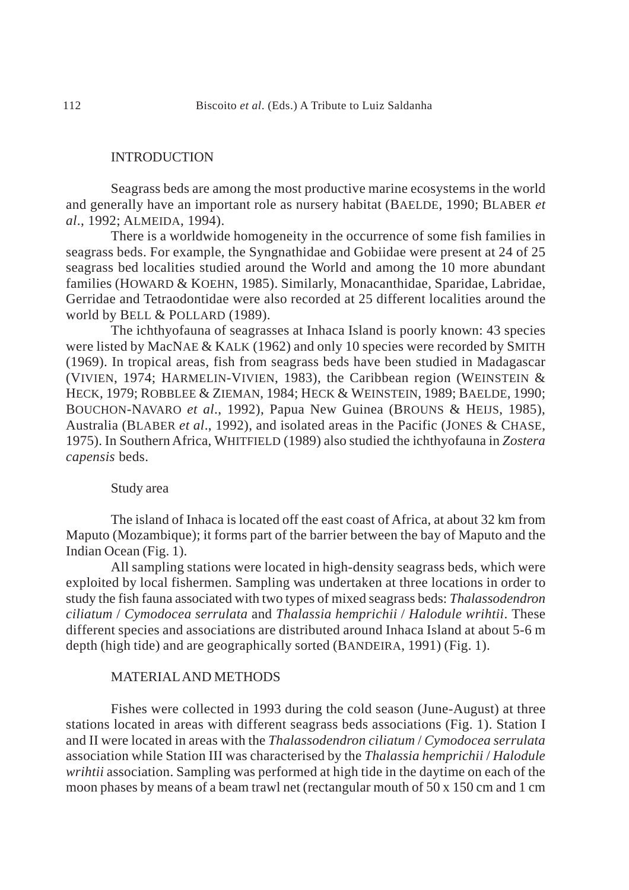# **INTRODUCTION**

Seagrass beds are among the most productive marine ecosystems in the world and generally have an important role as nursery habitat (BAELDE, 1990; BLABER *et al*., 1992; ALMEIDA, 1994).

There is a worldwide homogeneity in the occurrence of some fish families in seagrass beds. For example, the Syngnathidae and Gobiidae were present at 24 of 25 seagrass bed localities studied around the World and among the 10 more abundant families (HOWARD & KOEHN, 1985). Similarly, Monacanthidae, Sparidae, Labridae, Gerridae and Tetraodontidae were also recorded at 25 different localities around the world by BELL & POLLARD (1989).

The ichthyofauna of seagrasses at Inhaca Island is poorly known: 43 species were listed by MacNAE & KALK (1962) and only 10 species were recorded by SMITH (1969). In tropical areas, fish from seagrass beds have been studied in Madagascar (VIVIEN, 1974; HARMELIN-VIVIEN, 1983), the Caribbean region (WEINSTEIN & HECK, 1979; ROBBLEE & ZIEMAN, 1984; HECK & WEINSTEIN, 1989; BAELDE, 1990; BOUCHON-NAVARO *et al*., 1992), Papua New Guinea (BROUNS & HEIJS, 1985), Australia (BLABER *et al*., 1992), and isolated areas in the Pacific (JONES & CHASE, 1975). In Southern Africa, WHITFIELD (1989) also studied the ichthyofauna in *Zostera capensis* beds.

# Study area

The island of Inhaca is located off the east coast of Africa, at about 32 km from Maputo (Mozambique); it forms part of the barrier between the bay of Maputo and the Indian Ocean (Fig. 1).

All sampling stations were located in high-density seagrass beds, which were exploited by local fishermen. Sampling was undertaken at three locations in order to study the fish fauna associated with two types of mixed seagrass beds: *Thalassodendron ciliatum* / *Cymodocea serrulata* and *Thalassia hemprichii* / *Halodule wrihtii*. These different species and associations are distributed around Inhaca Island at about 5-6 m depth (high tide) and are geographically sorted (BANDEIRA, 1991) (Fig. 1).

# MATERIAL AND METHODS

Fishes were collected in 1993 during the cold season (June-August) at three stations located in areas with different seagrass beds associations (Fig. 1). Station I and II were located in areas with the *Thalassodendron ciliatum* / *Cymodocea serrulata* association while Station III was characterised by the *Thalassia hemprichii* / *Halodule wrihtii* association. Sampling was performed at high tide in the daytime on each of the moon phases by means of a beam trawl net (rectangular mouth of 50 x 150 cm and 1 cm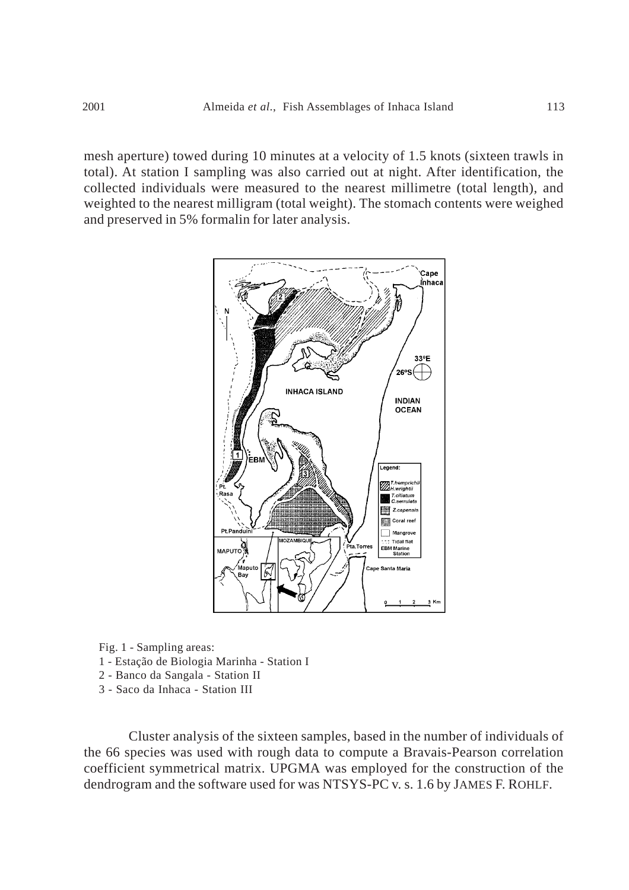mesh aperture) towed during 10 minutes at a velocity of 1.5 knots (sixteen trawls in total). At station I sampling was also carried out at night. After identification, the collected individuals were measured to the nearest millimetre (total length), and weighted to the nearest milligram (total weight). The stomach contents were weighed and preserved in 5% formalin for later analysis.



Fig. 1 - Sampling areas: 1 - Estação de Biologia Marinha - Station I 2 - Banco da Sangala - Station II

3 - Saco da Inhaca - Station III

Cluster analysis of the sixteen samples, based in the number of individuals of the 66 species was used with rough data to compute a Bravais-Pearson correlation coefficient symmetrical matrix. UPGMA was employed for the construction of the dendrogram and the software used for was NTSYS-PC v. s. 1.6 by JAMES F. ROHLF.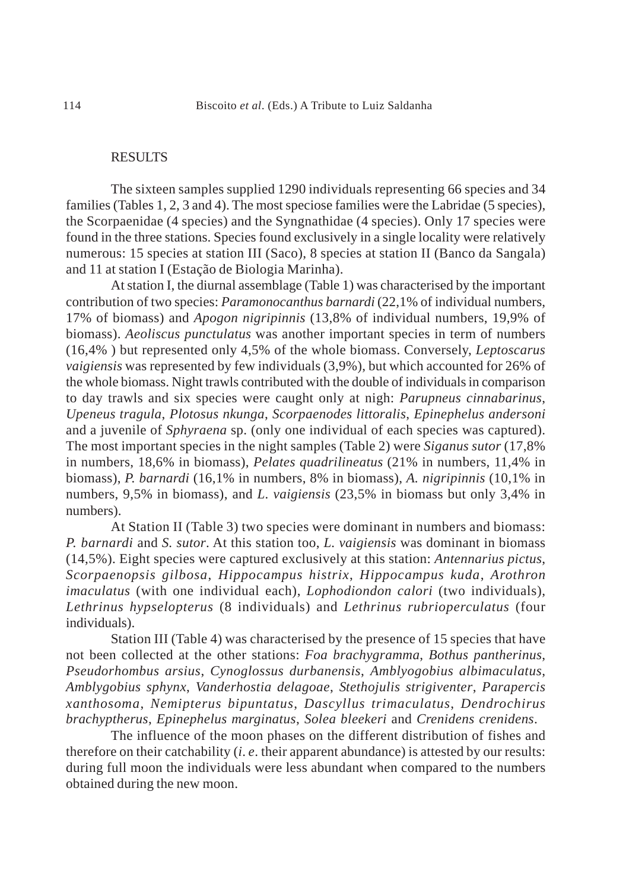### RESULTS

The sixteen samples supplied 1290 individuals representing 66 species and 34 families (Tables 1, 2, 3 and 4). The most speciose families were the Labridae (5 species), the Scorpaenidae (4 species) and the Syngnathidae (4 species). Only 17 species were found in the three stations. Species found exclusively in a single locality were relatively numerous: 15 species at station III (Saco), 8 species at station II (Banco da Sangala) and 11 at station I (Estação de Biologia Marinha).

At station I, the diurnal assemblage (Table 1) was characterised by the important contribution of two species: *Paramonocanthus barnardi* (22,1% of individual numbers, 17% of biomass) and *Apogon nigripinnis* (13,8% of individual numbers, 19,9% of biomass). *Aeoliscus punctulatus* was another important species in term of numbers (16,4% ) but represented only 4,5% of the whole biomass. Conversely, *Leptoscarus vaigiensis* was represented by few individuals (3,9%), but which accounted for 26% of the whole biomass. Night trawls contributed with the double of individuals in comparison to day trawls and six species were caught only at nigh: *Parupneus cinnabarinus*, *Upeneus tragula*, *Plotosus nkunga*, *Scorpaenodes littoralis*, *Epinephelus andersoni* and a juvenile of *Sphyraena* sp. (only one individual of each species was captured). The most important species in the night samples (Table 2) were *Siganus sutor* (17,8% in numbers, 18,6% in biomass), *Pelates quadrilineatus* (21% in numbers, 11,4% in biomass), *P. barnardi* (16,1% in numbers, 8% in biomass), *A. nigripinnis* (10,1% in numbers, 9,5% in biomass), and *L. vaigiensis* (23,5% in biomass but only 3,4% in numbers).

At Station II (Table 3) two species were dominant in numbers and biomass: *P. barnardi* and *S. sutor*. At this station too, *L. vaigiensis* was dominant in biomass (14,5%). Eight species were captured exclusively at this station: *Antennarius pictus*, *Scorpaenopsis gilbosa*, *Hippocampus histrix*, *Hippocampus kuda*, *Arothron imaculatus* (with one individual each), *Lophodiondon calori* (two individuals), *Lethrinus hypselopterus* (8 individuals) and *Lethrinus rubrioperculatus* (four individuals).

Station III (Table 4) was characterised by the presence of 15 species that have not been collected at the other stations: *Foa brachygramma*, *Bothus pantherinus*, *Pseudorhombus arsius*, *Cynoglossus durbanensis*, *Amblyogobius albimaculatus*, *Amblygobius sphynx*, *Vanderhostia delagoae*, *Stethojulis strigiventer*, *Parapercis xanthosoma*, *Nemipterus bipuntatus*, *Dascyllus trimaculatus*, *Dendrochirus brachyptherus*, *Epinephelus marginatus*, *Solea bleekeri* and *Crenidens crenidens*.

The influence of the moon phases on the different distribution of fishes and therefore on their catchability (*i*. *e*. their apparent abundance) is attested by our results: during full moon the individuals were less abundant when compared to the numbers obtained during the new moon.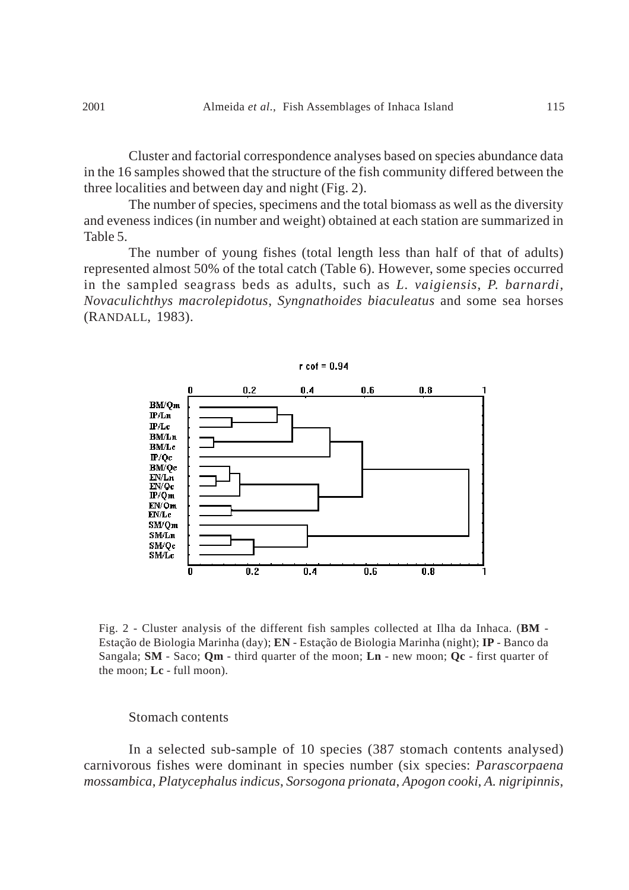Cluster and factorial correspondence analyses based on species abundance data in the 16 samples showed that the structure of the fish community differed between the three localities and between day and night (Fig. 2).

The number of species, specimens and the total biomass as well as the diversity and eveness indices (in number and weight) obtained at each station are summarized in Table 5.

The number of young fishes (total length less than half of that of adults) represented almost 50% of the total catch (Table 6). However, some species occurred in the sampled seagrass beds as adults, such as *L. vaigiensis*, *P. barnardi*, *Novaculichthys macrolepidotus*, *Syngnathoides biaculeatus* and some sea horses (RANDALL, 1983).



Fig. 2 - Cluster analysis of the different fish samples collected at Ilha da Inhaca. (**BM** - Estação de Biologia Marinha (day); **EN** - Estação de Biologia Marinha (night); **IP** - Banco da Sangala; **SM** - Saco; **Qm** - third quarter of the moon; **Ln** - new moon; **Qc** - first quarter of the moon; **Lc** - full moon).

### Stomach contents

In a selected sub-sample of 10 species (387 stomach contents analysed) carnivorous fishes were dominant in species number (six species: *Parascorpaena mossambica*, *Platycephalus indicus*, *Sorsogona prionata*, *Apogon cooki*, *A. nigripinnis*,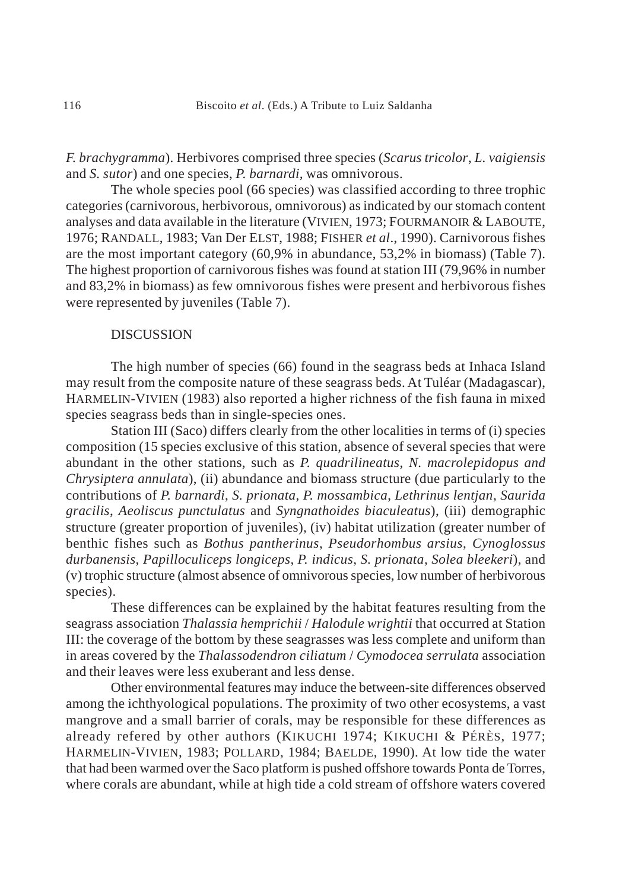*F. brachygramma*). Herbivores comprised three species (*Scarus tricolor*, *L. vaigiensis* and *S. sutor*) and one species, *P. barnardi,* was omnivorous.

The whole species pool (66 species) was classified according to three trophic categories (carnivorous, herbivorous, omnivorous) as indicated by our stomach content analyses and data available in the literature (VIVIEN, 1973; FOURMANOIR & LABOUTE, 1976; RANDALL, 1983; Van Der ELST, 1988; FISHER *et al*., 1990). Carnivorous fishes are the most important category (60,9% in abundance, 53,2% in biomass) (Table 7). The highest proportion of carnivorous fishes was found at station III (79,96% in number and 83,2% in biomass) as few omnivorous fishes were present and herbivorous fishes were represented by juveniles (Table 7).

# DISCUSSION

The high number of species (66) found in the seagrass beds at Inhaca Island may result from the composite nature of these seagrass beds. At Tuléar (Madagascar), HARMELIN-VIVIEN (1983) also reported a higher richness of the fish fauna in mixed species seagrass beds than in single-species ones.

Station III (Saco) differs clearly from the other localities in terms of (i) species composition (15 species exclusive of this station, absence of several species that were abundant in the other stations, such as *P. quadrilineatus*, *N. macrolepidopus and Chrysiptera annulata*), (ii) abundance and biomass structure (due particularly to the contributions of *P. barnardi*, *S. prionata*, *P. mossambica*, *Lethrinus lentjan*, *Saurida gracilis*, *Aeoliscus punctulatus* and *Syngnathoides biaculeatus*), (iii) demographic structure (greater proportion of juveniles), (iv) habitat utilization (greater number of benthic fishes such as *Bothus pantherinus*, *Pseudorhombus arsius*, *Cynoglossus durbanensis*, *Papilloculiceps longiceps*, *P. indicus*, *S. prionata*, *Solea bleekeri*), and (v) trophic structure (almost absence of omnivorous species, low number of herbivorous species).

These differences can be explained by the habitat features resulting from the seagrass association *Thalassia hemprichii* / *Halodule wrightii* that occurred at Station III: the coverage of the bottom by these seagrasses was less complete and uniform than in areas covered by the *Thalassodendron ciliatum* / *Cymodocea serrulata* association and their leaves were less exuberant and less dense.

Other environmental features may induce the between-site differences observed among the ichthyological populations. The proximity of two other ecosystems, a vast mangrove and a small barrier of corals, may be responsible for these differences as already refered by other authors (KIKUCHI 1974; KIKUCHI & PÉRÈS, 1977; HARMELIN-VIVIEN, 1983; POLLARD, 1984; BAELDE, 1990). At low tide the water that had been warmed over the Saco platform is pushed offshore towards Ponta de Torres, where corals are abundant, while at high tide a cold stream of offshore waters covered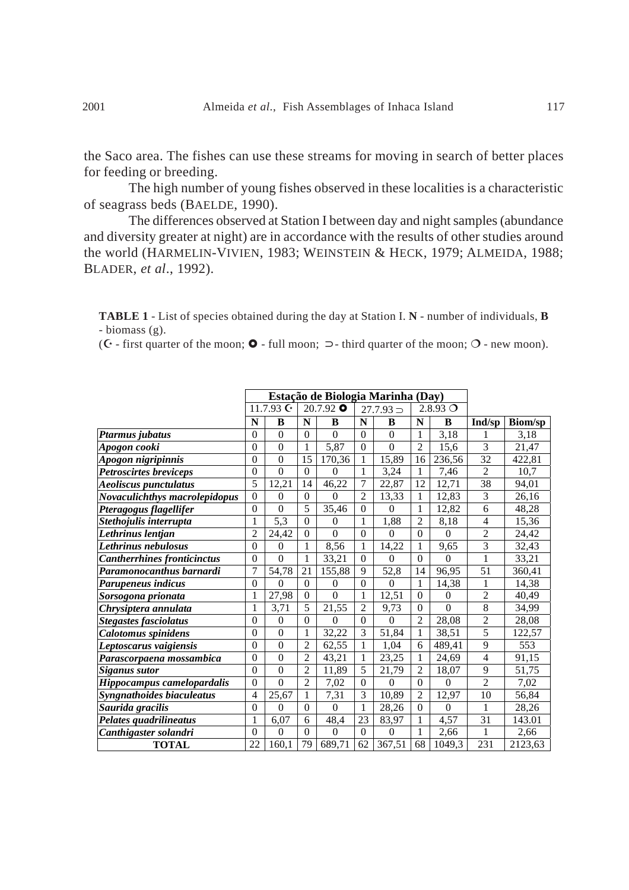the Saco area. The fishes can use these streams for moving in search of better places for feeding or breeding.

The high number of young fishes observed in these localities is a characteristic of seagrass beds (BAELDE, 1990).

The differences observed at Station I between day and night samples (abundance and diversity greater at night) are in accordance with the results of other studies around the world (HARMELIN-VIVIEN, 1983; WEINSTEIN & HECK, 1979; ALMEIDA, 1988; BLADER, *et al*., 1992).

**TABLE 1** - List of species obtained during the day at Station I. **N** - number of individuals, **B** - biomass (g).

( $C$  - first quarter of the moon;  $\bullet$  - full moon;  $\supset$  - third quarter of the moon;  $O$  - new moon).

|                                      |                  | Estação de Biologia Marinha (Day) |                  |                |                |                  |                  |            |                |                |
|--------------------------------------|------------------|-----------------------------------|------------------|----------------|----------------|------------------|------------------|------------|----------------|----------------|
|                                      |                  | 11.7.93 $G$                       |                  | $20.7.92$ O    |                | $27.7.93 =$      |                  | $2.8.93$ O |                |                |
|                                      | N                | B                                 | N                | B              | N              | B                | N                | B          | Ind/sp         | <b>Biom/sp</b> |
| Ptarmus jubatus                      | $\boldsymbol{0}$ | $\boldsymbol{0}$                  | $\overline{0}$   | $\theta$       | $\theta$       | $\boldsymbol{0}$ | $\mathbf{1}$     | 3,18       | 1              | 3,18           |
| Apogon cooki                         | $\overline{0}$   | $\mathbf{0}$                      | $\mathbf{1}$     | 5,87           | $\mathbf{0}$   | $\overline{0}$   | $\overline{2}$   | 15,6       | $\overline{3}$ | 21,47          |
| Apogon nigripinnis                   | $\boldsymbol{0}$ | $\boldsymbol{0}$                  | 15               | 170,36         | $\,1\,$        | 15,89            | 16               | 236,56     | 32             | 422,81         |
| Petroscirtes breviceps               | $\boldsymbol{0}$ | $\overline{0}$                    | $\overline{0}$   | $\mathbf{0}$   | $\mathbf{1}$   | 3,24             | $\mathbf{1}$     | 7,46       | $\overline{2}$ | 10,7           |
| Aeoliscus punctulatus                | 5                | 12,21                             | 14               | 46,22          | 7              | 22,87            | 12               | 12,71      | 38             | 94,01          |
| <b>Novaculichthys macrolepidopus</b> | $\overline{0}$   | $\Omega$                          | $\Omega$         | $\theta$       | $\overline{2}$ | 13,33            | 1                | 12,83      | 3              | 26,16          |
| Pteragogus flagellifer               | $\overline{0}$   | $\Omega$                          | 5                | 35,46          | $\mathbf{0}$   | $\Omega$         | 1                | 12,82      | 6              | 48,28          |
| Stethojulis interrupta               | $\mathbf{1}$     | 5,3                               | $\overline{0}$   | $\theta$       | $\mathbf{1}$   | 1,88             | $\overline{2}$   | 8,18       | $\overline{4}$ | 15,36          |
| Lethrinus lentjan                    | $\overline{c}$   | 24,42                             | $\boldsymbol{0}$ | $\mathbf{0}$   | $\mathbf{0}$   | $\theta$         | $\mathbf{0}$     | $\theta$   | $\overline{2}$ | 24,42          |
| Lethrinus nebulosus                  | $\overline{0}$   | $\Omega$                          | 1                | 8,56           | $\mathbf{1}$   | 14,22            | $\mathbf{1}$     | 9,65       | $\overline{3}$ | 32,43          |
| <b>Cantherrhines fronticinctus</b>   | $\mathbf{0}$     | $\overline{0}$                    | 1                | 33,21          | $\overline{0}$ | $\theta$         | $\Omega$         | $\theta$   | $\mathbf{1}$   | 33,21          |
| Paramonocanthus barnardi             | 7                | 54,78                             | 21               | 155,88         | 9              | 52,8             | 14               | 96,95      | 51             | 360,41         |
| Parupeneus indicus                   | $\mathbf{0}$     | $\Omega$                          | $\Omega$         | $\theta$       | $\mathbf{0}$   | $\Omega$         | 1                | 14,38      | $\mathbf{1}$   | 14,38          |
| Sorsogona prionata                   | $\mathbf{1}$     | 27,98                             | $\Omega$         | $\theta$       | $\mathbf{1}$   | 12,51            | $\theta$         | $\Omega$   | $\overline{2}$ | 40,49          |
| Chrysiptera annulata                 | $\mathbf{1}$     | 3,71                              | $\overline{5}$   | 21,55          | $\overline{2}$ | 9,73             | $\mathbf{0}$     | $\theta$   | $\overline{8}$ | 34,99          |
| <b>Stegastes fasciolatus</b>         | $\overline{0}$   | $\boldsymbol{0}$                  | $\overline{0}$   | $\theta$       | $\mathbf{0}$   | $\Omega$         | $\overline{2}$   | 28,08      | $\overline{2}$ | 28,08          |
| Calotomus spinidens                  | $\overline{0}$   | $\mathbf{0}$                      | $\mathbf{1}$     | 32,22          | $\overline{3}$ | 51,84            | $\mathbf{1}$     | 38,51      | $\overline{5}$ | 122,57         |
| Leptoscarus vaigiensis               | $\mathbf{0}$     | $\overline{0}$                    | $\overline{2}$   | 62,55          | $\mathbf{1}$   | 1,04             | 6                | 489,41     | 9              | 553            |
| Parascorpaena mossambica             | $\overline{0}$   | $\overline{0}$                    | $\overline{2}$   | 43,21          | $\mathbf{1}$   | 23,25            | $\mathbf{1}$     | 24,69      | $\overline{4}$ | 91,15          |
| <b>Siganus sutor</b>                 | $\mathbf{0}$     | $\overline{0}$                    | $\overline{2}$   | 11,89          | 5              | 21,79            | $\overline{2}$   | 18,07      | 9              | 51,75          |
| Hippocampus camelopardalis           | $\overline{0}$   | $\overline{0}$                    | $\overline{2}$   | 7,02           | $\mathbf{0}$   | $\Omega$         | $\boldsymbol{0}$ | $\Omega$   | $\overline{2}$ | 7,02           |
| Syngnathoides biaculeatus            | 4                | 25,67                             | 1                | 7,31           | 3              | 10,89            | $\overline{2}$   | 12,97      | 10             | 56,84          |
| Saurida gracilis                     | $\overline{0}$   | $\overline{0}$                    | $\overline{0}$   | $\overline{0}$ | $\mathbf{1}$   | 28,26            | $\mathbf{0}$     | $\theta$   | 1              | 28,26          |
| Pelates quadrilineatus               | $\mathbf{1}$     | 6,07                              | 6                | 48,4           | 23             | 83,97            | 1                | 4,57       | 31             | 143.01         |
| Canthigaster solandri                | $\overline{0}$   | $\overline{0}$                    | $\overline{0}$   | $\theta$       | $\overline{0}$ | $\theta$         | 1                | 2,66       | 1              | 2,66           |
| <b>TOTAL</b>                         | 22               | 160,1                             | 79               | 689,71         | 62             | 367,51           | 68               | 1049,3     | 231            | 2123,63        |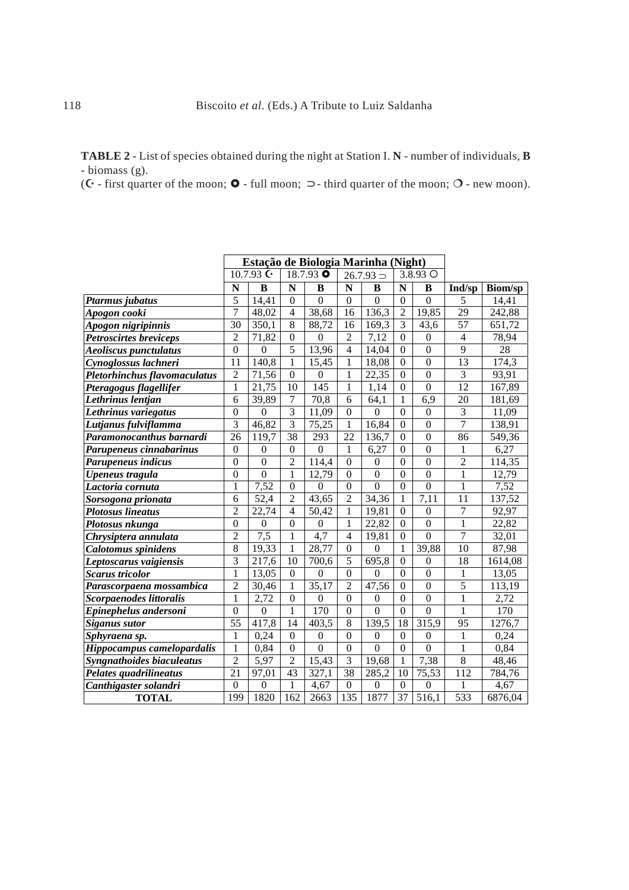**TABLE 2** - List of species obtained during the night at Station I. **N** - number of individuals, **B** - biomass (g).

( $\mathbf C$  - first quarter of the moon;  $\mathbf O$  - full moon;  $\supset$  - third quarter of the moon;  $\mathbf O$  - new moon).

|                                  |                  | Estação de Biologia Marinha (Night) |                  |                  |                         |                  |                  |                  |                |                |  |
|----------------------------------|------------------|-------------------------------------|------------------|------------------|-------------------------|------------------|------------------|------------------|----------------|----------------|--|
|                                  |                  | 10.7.93 $C_1$                       |                  | 18.7.93 O        |                         | $26.7.93 =$      |                  | 3.8.93 O         |                |                |  |
|                                  | N                | $\bf{B}$                            | N                | B                | $\overline{\mathbf{N}}$ | $\bf{B}$         | $\mathbf N$      | B                | Ind/sp         | <b>Biom/sp</b> |  |
| Ptarmus jubatus                  | 5                | 14,41                               | $\overline{0}$   | $\overline{0}$   | $\overline{0}$          | $\overline{0}$   | $\mathbf{0}$     | $\overline{0}$   | 5              | 14,41          |  |
| Apogon cooki                     | $\overline{7}$   | 48,02                               | $\overline{4}$   | 38,68            | 16                      | 136,3            | $\overline{2}$   | 19,85            | 29             | 242,88         |  |
| Apogon nigripinnis               | 30               | 350,1                               | 8                | 88,72            | 16                      | 169,3            | $\overline{3}$   | 43,6             | 57             | 651,72         |  |
| <b>Petroscirtes breviceps</b>    | $\overline{2}$   | 71,82                               | $\theta$         | $\theta$         | $\overline{2}$          | 7,12             | $\boldsymbol{0}$ | $\boldsymbol{0}$ | 4              | 78,94          |  |
| <b>Aeoliscus punctulatus</b>     | $\overline{0}$   | $\boldsymbol{0}$                    | 5                | 13,96            | $\overline{4}$          | 14,04            | $\boldsymbol{0}$ | $\overline{0}$   | 9              | 28             |  |
| Cynoglossus lachneri             | 11               | 140,8                               | $\mathbf{1}$     | 15,45            | 1                       | 18,08            | $\boldsymbol{0}$ | $\overline{0}$   | 13             | 174,3          |  |
| Pletorhinchus flavomaculatus     | $\overline{2}$   | 71,56                               | $\theta$         | $\boldsymbol{0}$ | 1                       | 22,35            | $\boldsymbol{0}$ | $\overline{0}$   | 3              | 93,91          |  |
| Pteragogus flagellifer           | $\mathbf{1}$     | 21,75                               | 10               | 145              | 1                       | 1,14             | $\boldsymbol{0}$ | $\overline{0}$   | 12             | 167,89         |  |
| Lethrinus lentjan                | 6                | 39,89                               | 7                | 70,8             | 6                       | 64,1             | 1                | 6,9              | 20             | 181,69         |  |
| Lethrinus variegatus             | $\theta$         | $\overline{0}$                      | 3                | 11,09            | $\Omega$                | $\theta$         | $\Omega$         | $\theta$         | 3              | 11,09          |  |
| Lutjanus fulviflamma             | $\overline{3}$   | 46,82                               | 3                | 75,25            | 1                       | 16,84            | $\boldsymbol{0}$ | $\boldsymbol{0}$ | $\overline{7}$ | 138,91         |  |
| Paramonocanthus barnardi         | 26               | 119,7                               | 38               | 293              | 22                      | 136,7            | $\boldsymbol{0}$ | $\boldsymbol{0}$ | 86             | 549,36         |  |
| Parupeneus cinnabarinus          | $\boldsymbol{0}$ | $\boldsymbol{0}$                    | $\boldsymbol{0}$ | $\boldsymbol{0}$ | 1                       | 6,27             | $\boldsymbol{0}$ | $\boldsymbol{0}$ | 1              | 6,27           |  |
| Parupeneus indicus               | $\theta$         | $\boldsymbol{0}$                    | $\overline{2}$   | 114,4            | $\Omega$                | $\boldsymbol{0}$ | $\boldsymbol{0}$ | $\overline{0}$   | $\overline{c}$ | 114,35         |  |
| Upeneus tragula                  | $\overline{0}$   | $\mathbf{0}$                        | $\mathbf{1}$     | 12,79            | $\boldsymbol{0}$        | $\mathbf{0}$     | $\boldsymbol{0}$ | $\overline{0}$   | 1              | 12,79          |  |
| Lactoria cornuta                 | $\mathbf{1}$     | 7,52                                | $\overline{0}$   | $\theta$         | $\Omega$                | $\overline{0}$   | $\mathbf{0}$     | $\overline{0}$   | 1              | 7,52           |  |
| Sorsogona prionata               | 6                | 52,4                                | $\overline{2}$   | 43,65            | $\overline{2}$          | 34,36            | $\mathbf{1}$     | 7,11             | 11             | 137,52         |  |
| <b>Plotosus lineatus</b>         | $\overline{2}$   | 22,74                               | $\overline{4}$   | 50,42            | 1                       | 19,81            | $\overline{0}$   | $\overline{0}$   | $\overline{7}$ | 92,97          |  |
| Plotosus nkunga                  | $\boldsymbol{0}$ | $\mathbf{0}$                        | $\theta$         | $\theta$         | 1                       | 22,82            | $\mathbf{0}$     | $\boldsymbol{0}$ | 1              | 22,82          |  |
| Chrysiptera annulata             | $\overline{2}$   | 7,5                                 | 1                | 4,7              | $\overline{4}$          | 19,81            | $\boldsymbol{0}$ | $\overline{0}$   | $\overline{7}$ | 32,01          |  |
| Calotomus spinidens              | 8                | 19,33                               | $\mathbf{1}$     | 28,77            | $\boldsymbol{0}$        | $\overline{0}$   | $\mathbf{1}$     | 39,88            | 10             | 87,98          |  |
| Leptoscarus vaigiensis           | 3                | 217,6                               | 10               | 700,6            | 5                       | 695,8            | $\boldsymbol{0}$ | $\boldsymbol{0}$ | 18             | 1614,08        |  |
| <b>Scarus tricolor</b>           | $\mathbf{1}$     | 13,05                               | $\theta$         | $\theta$         | $\Omega$                | $\boldsymbol{0}$ | $\boldsymbol{0}$ | $\overline{0}$   | 1              | 13,05          |  |
| Parascorpaena mossambica         | $\overline{2}$   | 30,46                               | $\mathbf{1}$     | 35,17            | $\overline{2}$          | 47,56            | $\boldsymbol{0}$ | $\boldsymbol{0}$ | $\overline{5}$ | 113,19         |  |
| Scorpaenodes littoralis          | 1                | 2,72                                | $\overline{0}$   | $\theta$         | $\Omega$                | $\theta$         | $\mathbf{0}$     | $\boldsymbol{0}$ | $\mathbf{1}$   | 2,72           |  |
| Epinephelus andersoni            | $\mathbf{0}$     | $\boldsymbol{0}$                    | 1                | 170              | $\Omega$                | $\theta$         | $\Omega$         | $\overline{0}$   | 1              | 170            |  |
| <b>Siganus sutor</b>             | 55               | 417,8                               | 14               | 403,5            | 8                       | 139,5            | 18               | 315,9            | 95             | 1276,7         |  |
| Sphyraena sp.                    | 1                | 0,24                                | $\boldsymbol{0}$ | $\boldsymbol{0}$ | $\boldsymbol{0}$        | $\mathbf{0}$     | $\boldsymbol{0}$ | $\boldsymbol{0}$ | 1              | 0,24           |  |
| Hippocampus camelopardalis       | $\mathbf{1}$     | 0,84                                | $\mathbf{0}$     | $\overline{0}$   | $\Omega$                | $\overline{0}$   | $\boldsymbol{0}$ | $\overline{0}$   | 1              | 0,84           |  |
| <b>Syngnathoides biaculeatus</b> | $\overline{2}$   | 5,97                                | $\overline{2}$   | 15,43            | $\overline{3}$          | 19,68            | $\mathbf{1}$     | 7,38             | 8              | 48,46          |  |
| Pelates quadrilineatus           | 21               | 97,01                               | 43               | 327,1            | 38                      | 285,2            | 10               | 75,53            | 112            | 784,76         |  |
| Canthigaster solandri            | $\overline{0}$   | $\boldsymbol{0}$                    | $\mathbf{1}$     | 4,67             | $\boldsymbol{0}$        | $\mathbf{0}$     | $\boldsymbol{0}$ | $\boldsymbol{0}$ | 1              | 4,67           |  |
| <b>TOTAL</b>                     | 199              | 1820                                | 162              | 2663             | 135                     | 1877             | 37               | 516,1            | 533            | 6876,04        |  |

 $\hat{\mathcal{A}}$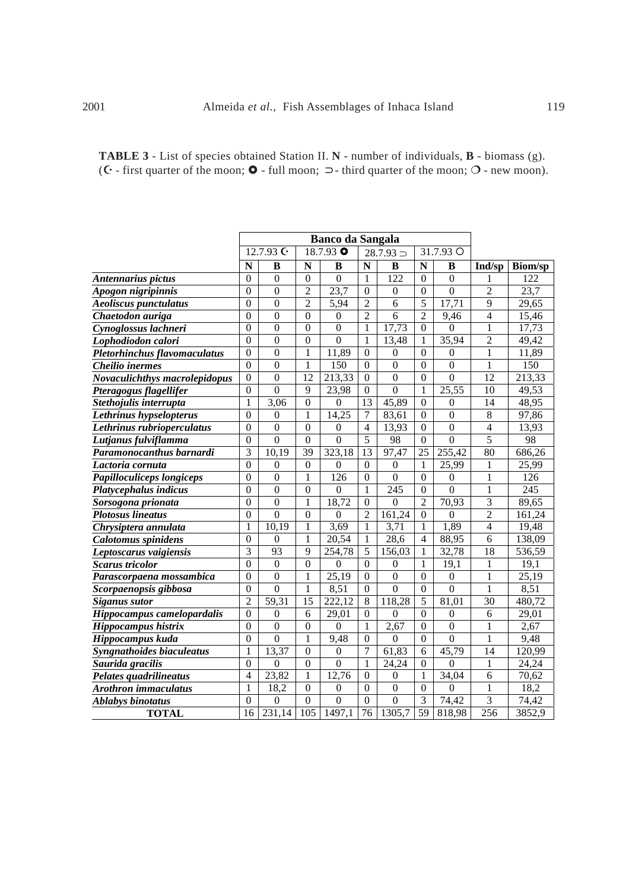| <b>TABLE 3</b> - List of species obtained Station II. N - number of individuals, <b>B</b> - biomass (g).                             |
|--------------------------------------------------------------------------------------------------------------------------------------|
| ( $\mathbf{C}$ - first quarter of the moon; $\mathbf{O}$ - full moon; $\supset$ - third quarter of the moon; $\bigcirc$ - new moon). |

|                               |                  | 12.7.93 G        |                  | <b>Banco da Sangala</b><br>18.7.93 O |                  | $28.7.93 =$      |                  | 31.7.93 O        |                 |                |  |
|-------------------------------|------------------|------------------|------------------|--------------------------------------|------------------|------------------|------------------|------------------|-----------------|----------------|--|
|                               | N                | B                | N                | B                                    | ${\bf N}$        | $\bf{B}$         | ${\bf N}$        | B                | Ind/sp          | <b>Biom/sp</b> |  |
| Antennarius pictus            | $\theta$         | $\Omega$         | $\theta$         | $\theta$                             | $\mathbf{1}$     | 122              | $\Omega$         | $\Omega$         | 1               | 122            |  |
| Apogon nigripinnis            | $\Omega$         | $\Omega$         | $\overline{2}$   | 23,7                                 | $\mathbf{0}$     | $\overline{0}$   | $\overline{0}$   | $\Omega$         | 2               | 23,7           |  |
| <b>Aeoliscus punctulatus</b>  | $\Omega$         | $\overline{0}$   | $\overline{2}$   | 5,94                                 | $\overline{2}$   | 6                | 5                | 17,71            | 9               | 29,65          |  |
| Chaetodon auriga              | $\theta$         | $\overline{0}$   | $\overline{0}$   | $\theta$                             | $\overline{2}$   | 6                | $\overline{2}$   | 9,46             | $\overline{4}$  | 15,46          |  |
| Cynoglossus lachneri          | $\boldsymbol{0}$ | $\boldsymbol{0}$ | $\boldsymbol{0}$ | $\mathbf{0}$                         | $\mathbf{1}$     | 17,73            | $\mathbf{0}$     | $\boldsymbol{0}$ | $\mathbf{1}$    | 17,73          |  |
| Lophodiodon calori            | $\theta$         | $\overline{0}$   | $\overline{0}$   | $\overline{0}$                       | 1                | 13,48            | 1                | 35,94            | 2               | 49,42          |  |
| Pletorhinchus flavomaculatus  | $\boldsymbol{0}$ | $\overline{0}$   | 1                | 11,89                                | $\mathbf{0}$     | $\boldsymbol{0}$ | $\Omega$         | $\overline{0}$   | $\mathbf{1}$    | 11,89          |  |
| Cheilio inermes               | $\Omega$         | $\overline{0}$   | 1                | 150                                  | $\overline{0}$   | $\overline{0}$   | $\overline{0}$   | $\overline{0}$   | $\mathbf{1}$    | 150            |  |
| Novaculichthys macrolepidopus | $\overline{0}$   | $\overline{0}$   | $\overline{12}$  | 213,33                               | $\boldsymbol{0}$ | $\overline{0}$   | $\overline{0}$   | $\overline{0}$   | $\overline{12}$ | 213,33         |  |
| Pteragogus flagellifer        | $\boldsymbol{0}$ | $\overline{0}$   | 9                | 23,98                                | $\mathbf{0}$     | $\overline{0}$   | $\mathbf{1}$     | 25,55            | 10              | 49,53          |  |
| Stethojulis interrupta        | $\mathbf{1}$     | 3,06             | $\mathbf{0}$     | $\mathbf{0}$                         | 13               | 45,89            | $\boldsymbol{0}$ | $\boldsymbol{0}$ | 14              | 48,95          |  |
| Lethrinus hypselopterus       | $\mathbf{0}$     | $\boldsymbol{0}$ | 1                | 14,25                                | $\overline{7}$   | 83,61            | $\theta$         | $\boldsymbol{0}$ | $\,8\,$         | 97,86          |  |
| Lethrinus rubrioperculatus    | $\theta$         | $\mathbf{0}$     | $\mathbf{0}$     | $\boldsymbol{0}$                     | $\overline{4}$   | 13,93            | $\boldsymbol{0}$ | $\mathbf{0}$     | $\overline{4}$  | 13,93          |  |
| Lutjanus fulviflamma          | $\overline{0}$   | $\overline{0}$   | $\overline{0}$   | $\overline{0}$                       | $\overline{5}$   | 98               | $\boldsymbol{0}$ | $\overline{0}$   | $\overline{5}$  | 98             |  |
| Paramonocanthus barnardi      | 3                | 10,19            | $\overline{39}$  | 323,18                               | $\overline{13}$  | 97,47            | 25               | 255,42           | $\overline{80}$ | 686,26         |  |
| Lactoria cornuta              | $\overline{0}$   | $\boldsymbol{0}$ | $\mathbf{0}$     | $\overline{0}$                       | $\boldsymbol{0}$ | $\boldsymbol{0}$ | 1                | 25,99            | 1               | 25,99          |  |
| Papilloculiceps longiceps     | $\theta$         | $\overline{0}$   | 1                | 126                                  | $\mathbf{0}$     | $\overline{0}$   | $\overline{0}$   | $\boldsymbol{0}$ | $\mathbf{1}$    | 126            |  |
| Platycephalus indicus         | $\Omega$         | $\overline{0}$   | $\overline{0}$   | $\Omega$                             | $\mathbf{1}$     | 245              | $\theta$         | $\overline{0}$   | $\mathbf{1}$    | 245            |  |
| Sorsogona prionata            | $\theta$         | $\overline{0}$   | 1                | 18,72                                | $\mathbf{0}$     | $\overline{0}$   | $\overline{2}$   | 70,93            | 3               | 89,65          |  |
| <b>Plotosus lineatus</b>      | $\boldsymbol{0}$ | $\overline{0}$   | $\overline{0}$   | $\theta$                             | $\overline{2}$   | 161,24           | $\mathbf{0}$     | $\overline{0}$   | $\overline{2}$  | 161,24         |  |
| Chrysiptera annulata          | 1                | 10,19            | 1                | 3.69                                 | 1                | 3,71             | 1                | 1,89             | $\overline{4}$  | 19,48          |  |
| <b>Calotomus</b> spinidens    | $\theta$         | 0                | 1                | 20,54                                | 1                | 28,6             | $\overline{4}$   | 88,95            | 6               | 138,09         |  |
| Leptoscarus vaigiensis        | 3                | 93               | 9                | 254,78                               | 5                | 156,03           | 1                | 32,78            | 18              | 536,59         |  |
| Scarus tricolor               | $\overline{0}$   | $\overline{0}$   | $\overline{0}$   | $\mathbf{0}$                         | $\mathbf{0}$     | $\overline{0}$   | 1                | 19,1             | 1               | 19,1           |  |
| Parascorpaena mossambica      | $\boldsymbol{0}$ | $\overline{0}$   | 1                | 25,19                                | $\boldsymbol{0}$ | $\overline{0}$   | $\overline{0}$   | $\boldsymbol{0}$ | $\mathbf{1}$    | 25,19          |  |
| Scorpaenopsis gibbosa         | $\overline{0}$   | $\overline{0}$   | $\mathbf{1}$     | 8,51                                 | $\mathbf{0}$     | $\overline{0}$   | $\overline{0}$   | $\overline{0}$   | $\mathbf{1}$    | 8,51           |  |
| <b>Siganus sutor</b>          | $\overline{2}$   | 59,31            | $\overline{15}$  | 222,12                               | $\overline{8}$   | 118,28           | $\overline{5}$   | 81,01            | $\overline{30}$ | 480,72         |  |
| Hippocampus camelopardalis    | $\overline{0}$   | $\mathbf{0}$     | 6                | 29,01                                | $\mathbf{0}$     | $\theta$         | $\overline{0}$   | $\boldsymbol{0}$ | 6               | 29,01          |  |
| Hippocampus histrix           | $\boldsymbol{0}$ | $\overline{0}$   | $\mathbf{0}$     | $\overline{0}$                       | $\mathbf{1}$     | 2,67             | $\boldsymbol{0}$ | $\overline{0}$   | $\mathbf{1}$    | 2,67           |  |
| Hippocampus kuda              | $\boldsymbol{0}$ | $\overline{0}$   | $\mathbf{1}$     | 9,48                                 | $\boldsymbol{0}$ | $\overline{0}$   | $\boldsymbol{0}$ | $\boldsymbol{0}$ | $\mathbf{1}$    | 9,48           |  |
| Syngnathoides biaculeatus     | $\mathbf{1}$     | 13,37            | $\boldsymbol{0}$ | $\boldsymbol{0}$                     | 7                | 61,83            | 6                | 45,79            | 14              | 120,99         |  |
| Saurida gracilis              | $\theta$         | $\boldsymbol{0}$ | $\boldsymbol{0}$ | $\mathbf{0}$                         | 1                | 24,24            | $\mathbf{0}$     | $\theta$         | 1               | 24,24          |  |
| Pelates quadrilineatus        | $\overline{4}$   | 23,82            | 1                | 12,76                                | $\Omega$         | $\boldsymbol{0}$ | 1                | 34,04            | 6               | 70,62          |  |
| <b>Arothron</b> immaculatus   | 1                | 18,2             | $\overline{0}$   | $\mathbf{0}$                         | $\Omega$         | $\overline{0}$   | $\Omega$         | $\overline{0}$   | $\mathbf{1}$    | 18,2           |  |
| <b>Ablabys binotatus</b>      | $\boldsymbol{0}$ | $\mathbf{0}$     | $\mathbf{0}$     | $\boldsymbol{0}$                     | $\boldsymbol{0}$ | $\overline{0}$   | 3                | 74,42            | $\overline{3}$  | 74,42          |  |
| <b>TOTAL</b>                  | 16               | 231,14           | 105              | 1497,1                               | 76               | 1305,7           | $\overline{59}$  | 818,98           | 256             | 3852,9         |  |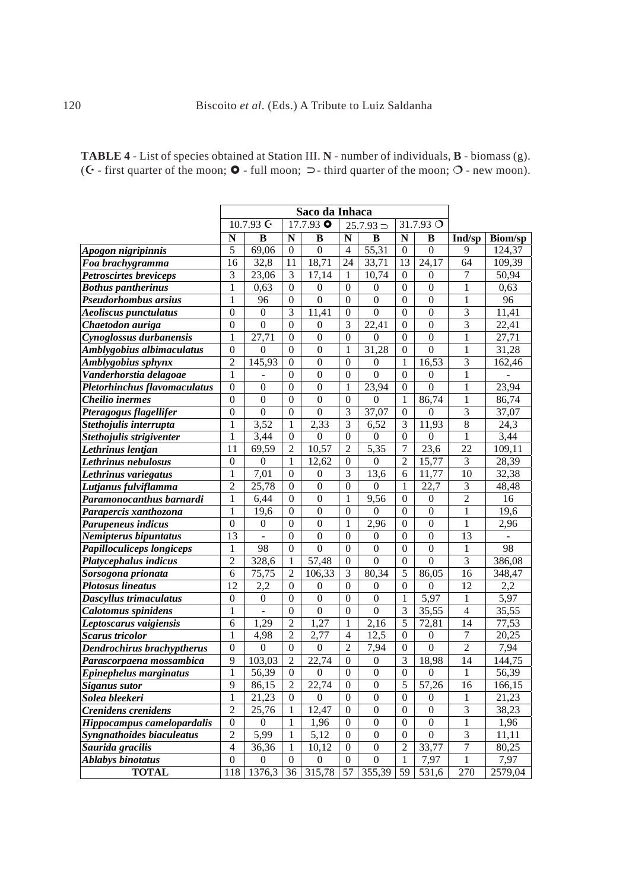| <b>TABLE 4</b> - List of species obtained at Station III. N - number of individuals, <b>B</b> - biomass (g).                           |
|----------------------------------------------------------------------------------------------------------------------------------------|
| ( $\mathbf{C}$ - first quarter of the moon; $\mathbf{O}$ - full moon; $\supset$ - third quarter of the moon; $\mathbf{O}$ - new moon). |

|                                   |                  |                              |                  | Saco da Inhaca   |                  |                  |                  |                    |                |                |
|-----------------------------------|------------------|------------------------------|------------------|------------------|------------------|------------------|------------------|--------------------|----------------|----------------|
|                                   |                  | 10.7.93 $\mathsf{C}^{\star}$ |                  | $17.7.93$ O      |                  | $25.7.93 =$      |                  | 31.7.93 $\bigcirc$ |                |                |
|                                   | N                | B                            | N                | B                | N                | B                | ${\bf N}$        | B                  | Ind/sp         | <b>Biom/sp</b> |
| Apogon nigripinnis                | 5                | 69,06                        | $\theta$         | $\boldsymbol{0}$ | $\overline{4}$   | 55,31            | $\mathbf{0}$     | $\mathbf{0}$       | 9              | 124,37         |
| Foa brachygramma                  | 16               | 32,8                         | 11               | 18,71            | 24               | 33,71            | 13               | 24,17              | 64             | 109,39         |
| <b>Petroscirtes breviceps</b>     | 3                | 23,06                        | 3                | 17,14            | 1                | 10,74            | $\mathbf{0}$     | $\boldsymbol{0}$   | 7              | 50,94          |
| <b>Bothus pantherinus</b>         | $\mathbf{1}$     | 0,63                         | 0                | 0                | $\overline{0}$   | 0                | $\theta$         | $\theta$           | 1              | 0,63           |
| Pseudorhombus arsius              | $\mathbf{1}$     | 96                           | $\overline{0}$   | $\boldsymbol{0}$ | $\boldsymbol{0}$ | $\boldsymbol{0}$ | $\boldsymbol{0}$ | $\mathbf{0}$       | 1              | 96             |
| Aeoliscus punctulatus             | $\boldsymbol{0}$ | $\boldsymbol{0}$             | 3                | 11,41            | $\boldsymbol{0}$ | $\boldsymbol{0}$ | $\boldsymbol{0}$ | $\boldsymbol{0}$   | 3              | 11,41          |
| Chaetodon auriga                  | $\boldsymbol{0}$ | $\mathbf{0}$                 | $\boldsymbol{0}$ | $\mathbf{0}$     | 3                | 22,41            | $\mathbf{0}$     | $\boldsymbol{0}$   | 3              | 22,41          |
| Cynoglossus durbanensis           | $\mathbf{1}$     | 27,71                        | $\overline{0}$   | $\boldsymbol{0}$ | $\overline{0}$   | $\boldsymbol{0}$ | $\mathbf{0}$     | $\mathbf{0}$       | $\mathbf{1}$   | 27,71          |
| Amblygobius albimaculatus         | $\boldsymbol{0}$ | $\boldsymbol{0}$             | $\overline{0}$   | $\boldsymbol{0}$ | 1                | 31,28            | $\boldsymbol{0}$ | $\boldsymbol{0}$   | $\mathbf{1}$   | 31,28          |
| Amblygobius sphynx                | $\overline{2}$   | 145,93                       | $\boldsymbol{0}$ | $\boldsymbol{0}$ | $\boldsymbol{0}$ | $\boldsymbol{0}$ | $\mathbf{1}$     | 16,53              | 3              | 162,46         |
| Vanderhorstia delagoae            | $\mathbf{1}$     | $\overline{a}$               | $\boldsymbol{0}$ | $\mathbf{0}$     | $\overline{0}$   | $\overline{0}$   | $\mathbf{0}$     | $\mathbf{0}$       | $\mathbf{1}$   |                |
| Pletorhinchus flavomaculatus      | $\mathbf{0}$     | $\mathbf{0}$                 | $\boldsymbol{0}$ | $\mathbf{0}$     | 1                | 23,94            | $\mathbf{0}$     | $\mathbf{0}$       | 1              | 23,94          |
| Cheilio inermes                   | $\boldsymbol{0}$ | $\mathbf{0}$                 | $\mathbf{0}$     | $\boldsymbol{0}$ | $\overline{0}$   | $\mathbf{0}$     | $\mathbf{1}$     | 86,74              | 1              | 86,74          |
| Pteragogus flagellifer            | $\boldsymbol{0}$ | $\mathbf{0}$                 | $\mathbf{0}$     | $\boldsymbol{0}$ | 3                | 37,07            | $\mathbf{0}$     | $\mathbf{0}$       | 3              | 37,07          |
| Stethojulis interrupta            | $\mathbf{1}$     | 3,52                         | $\mathbf{1}$     | 2,33             | 3                | 6,52             | 3                | 11,93              | $\,8\,$        | 24,3           |
| Stethojulis strigiventer          | $\mathbf{1}$     | 3,44                         | $\boldsymbol{0}$ | $\boldsymbol{0}$ | $\overline{0}$   | $\mathbf{0}$     | $\boldsymbol{0}$ | $\boldsymbol{0}$   | 1              | 3,44           |
| Lethrinus lentjan                 | 11               | 69,59                        | $\overline{2}$   | 10,57            | $\overline{2}$   | 5,35             | $\overline{7}$   | 23,6               | 22             | 109,11         |
| Lethrinus nebulosus               | $\overline{0}$   | $\mathbf{0}$                 | $\mathbf 1$      | 12,62            | $\overline{0}$   | $\boldsymbol{0}$ | $\overline{2}$   | 15,77              | 3              | 28,39          |
| Lethrinus variegatus              | $\mathbf{1}$     | 7,01                         | $\boldsymbol{0}$ | $\boldsymbol{0}$ | 3                | 13,6             | 6                | 11,77              | 10             | 32,38          |
| Lutjanus fulviflamma              | $\overline{c}$   | 25,78                        | $\boldsymbol{0}$ | $\boldsymbol{0}$ | $\overline{0}$   | $\boldsymbol{0}$ | $\mathbf{1}$     | 22,7               | 3              | 48,48          |
| Paramonocanthus barnardi          | $\mathbf{1}$     | 6,44                         | $\boldsymbol{0}$ | $\boldsymbol{0}$ | $\mathbf{1}$     | 9,56             | $\boldsymbol{0}$ | $\boldsymbol{0}$   | $\overline{2}$ | 16             |
| Parapercis xanthozona             | $\mathbf{1}$     | 19,6                         | $\boldsymbol{0}$ | $\boldsymbol{0}$ | $\boldsymbol{0}$ | $\mathbf{0}$     | $\boldsymbol{0}$ | $\boldsymbol{0}$   | $\mathbf{1}$   | 19,6           |
| Parupeneus indicus                | $\boldsymbol{0}$ | $\boldsymbol{0}$             | $\boldsymbol{0}$ | $\mathbf{0}$     | 1                | 2,96             | $\boldsymbol{0}$ | $\boldsymbol{0}$   | 1              | 2,96           |
| Nemipterus bipuntatus             | 13               | $\overline{a}$               | $\mathbf{0}$     | $\mathbf{0}$     | $\boldsymbol{0}$ | $\boldsymbol{0}$ | $\boldsymbol{0}$ | $\mathbf{0}$       | 13             |                |
| Papilloculiceps longiceps         | 1                | 98                           | $\boldsymbol{0}$ | $\mathbf{0}$     | $\boldsymbol{0}$ | $\boldsymbol{0}$ | $\boldsymbol{0}$ | $\boldsymbol{0}$   | 1              | 98             |
| Platycephalus indicus             | $\overline{c}$   | 328,6                        | 1                | 57,48            | $\theta$         | $\mathbf{0}$     | $\mathbf{0}$     | $\boldsymbol{0}$   | 3              | 386,08         |
| Sorsogona prionata                | 6                | 75,75                        | $\overline{2}$   | 106,33           | 3                | 80,34            | 5                | 86,05              | 16             | 348,47         |
| <b>Plotosus lineatus</b>          | 12               | 2,2                          | $\theta$         | $\mathbf{0}$     | $\overline{0}$   | $\boldsymbol{0}$ | $\boldsymbol{0}$ | $\boldsymbol{0}$   | 12             | 2,2            |
| Dascyllus trimaculatus            | $\boldsymbol{0}$ | $\boldsymbol{0}$             | 0                | $\mathbf{0}$     | $\boldsymbol{0}$ | $\mathbf{0}$     | $\mathbf{1}$     | 5,97               | 1              | 5,97           |
| Calotomus spinidens               | 1                | $\overline{a}$               | $\overline{0}$   | $\boldsymbol{0}$ | $\boldsymbol{0}$ | $\boldsymbol{0}$ | $\overline{3}$   | 35,55              | $\overline{4}$ | 35,55          |
| Leptoscarus vaigiensis            | 6                | 1,29                         | $\overline{2}$   | 1,27             | 1                | 2,16             | $\overline{5}$   | 72,81              | 14             | 77,53          |
| <b>Scarus</b> tricolor            | $\mathbf{1}$     | 4,98                         | $\overline{2}$   | 2,77             | $\overline{4}$   | 12,5             | $\boldsymbol{0}$ | $\boldsymbol{0}$   | $\tau$         | 20,25          |
| <b>Dendrochirus brachyptherus</b> | $\boldsymbol{0}$ | $\boldsymbol{0}$             | $\overline{0}$   | $\boldsymbol{0}$ | $\overline{2}$   | 7,94             | $\boldsymbol{0}$ | $\boldsymbol{0}$   | $\overline{2}$ | 7,94           |
| Parascorpaena mossambica          | 9                | 103,03                       | $\overline{2}$   | 22,74            | $\boldsymbol{0}$ | $\boldsymbol{0}$ | $\mathfrak{Z}$   | 18,98              | 14             | 144,75         |
| Epinephelus marginatus            | $\mathbf{1}$     | 56,39                        | $\boldsymbol{0}$ | $\boldsymbol{0}$ | $\overline{0}$   | $\boldsymbol{0}$ | $\overline{0}$   | $\boldsymbol{0}$   | $\,1$          | 56,39          |
| <b>Siganus sutor</b>              | 9                | 86,15                        | $\mathfrak{2}$   | 22,74            | $\overline{0}$   | $\boldsymbol{0}$ | 5                | 57,26              | 16             | 166,15         |
| Solea bleekeri                    | 1                | 21,23                        | $\overline{0}$   | $\mathbf{0}$     | $\overline{0}$   | $\boldsymbol{0}$ | $\mathbf{0}$     | $\overline{0}$     | 1              | 21,23          |
| <b>Crenidens</b> crenidens        | $\overline{c}$   | 25,76                        | 1                | 12,47            | $\mathbf{0}$     | $\boldsymbol{0}$ | $\mathbf{0}$     | $\mathbf{0}$       | 3              | 38,23          |
| Hippocampus camelopardalis        | $\boldsymbol{0}$ | $\boldsymbol{0}$             | 1                | 1,96             | $\boldsymbol{0}$ | $\boldsymbol{0}$ | $\mathbf{0}$     | $\mathbf{0}$       | 1              | 1,96           |
| Syngnathoides biaculeatus         | $\mathfrak{2}$   | 5,99                         | $\mathbf{1}$     | 5,12             | $\overline{0}$   | $\mathbf{0}$     | $\boldsymbol{0}$ | $\boldsymbol{0}$   | 3              | 11,11          |
| Saurida gracilis                  | $\overline{4}$   | 36,36                        | 1                | 10,12            | $\boldsymbol{0}$ | $\boldsymbol{0}$ | $\overline{2}$   | 33,77              | $\tau$         | 80,25          |
| <b>Ablabys binotatus</b>          | $\mathbf{0}$     | $\boldsymbol{0}$             | $\boldsymbol{0}$ | $\boldsymbol{0}$ | $\mathbf{0}$     | $\boldsymbol{0}$ | $\mathbf{1}$     | 7,97               | $\mathbf 1$    | 7,97           |
| <b>TOTAL</b>                      | 118              | 1376,3                       | 36               | 315,78           | 57               | 355,39           | 59               | 531,6              | 270            | 2579,04        |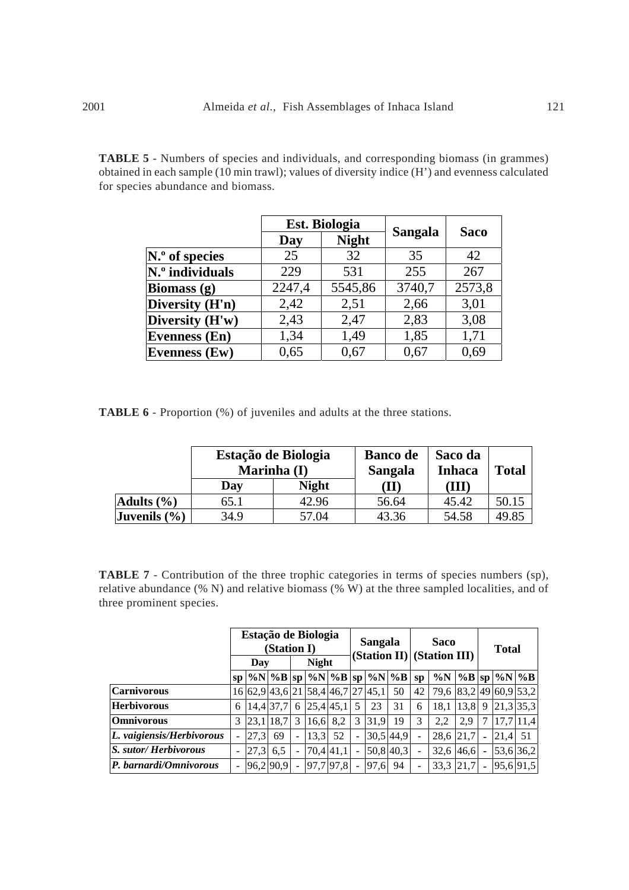**TABLE 5** - Numbers of species and individuals, and corresponding biomass (in grammes) obtained in each sample (10 min trawl); values of diversity indice (H') and evenness calculated for species abundance and biomass.

|                           |        | Est. Biologia |         |             |
|---------------------------|--------|---------------|---------|-------------|
|                           | Day    | <b>Night</b>  | Sangala | <b>Saco</b> |
| $\mathbf{N}$ . of species | 25     | 32            | 35      | 42          |
| N.º individuals           | 229    | 531           | 255     | 267         |
| <b>Biomass</b> (g)        | 2247,4 | 5545,86       | 3740,7  | 2573,8      |
| Diversity (H'n)           | 2,42   | 2,51          | 2,66    | 3,01        |
| Diversity (H'w)           | 2,43   | 2,47          | 2,83    | 3,08        |
| <b>Evenness (En)</b>      | 1,34   | 1,49          | 1,85    | 1,71        |
| <b>Evenness (Ew)</b>      | 0,65   | 0.67          | 0,67    | 0,69        |

**TABLE 6** - Proportion (%) of juveniles and adults at the three stations.

|                  | Marinha (I) | Estação de Biologia | <b>Banco de</b><br>Sangala | Saco da<br><b>Inhaca</b> | <b>Total</b> |
|------------------|-------------|---------------------|----------------------------|--------------------------|--------------|
|                  | Day         | <b>Night</b>        | (II)                       | (III)                    |              |
| Adults $(\% )$   | 65.1        | 42.96               | 56.64                      | 45.42                    | 50.15        |
| Juvenils $(\% )$ | 34.9        | 57.04               | 43.36                      | 54.58                    | 49.85        |

**TABLE 7** - Contribution of the three trophic categories in terms of species numbers (sp), relative abundance (% N) and relative biomass (% W) at the three sampled localities, and of three prominent species.

|                                    | Estação de Biologia<br>(Station I) |      |              |                          |      |           | <b>Sangala</b>           |                                           |             | <b>Saco</b><br>(Station II) (Station III) |                        |      | <b>Total</b>   |                      |           |
|------------------------------------|------------------------------------|------|--------------|--------------------------|------|-----------|--------------------------|-------------------------------------------|-------------|-------------------------------------------|------------------------|------|----------------|----------------------|-----------|
|                                    | Day                                |      | <b>Night</b> |                          |      |           |                          |                                           |             |                                           |                        |      |                |                      |           |
|                                    | SD <sub>1</sub>                    |      |              |                          |      |           |                          | $ \%N \%B $ sp $ \%N \%B $ sp $ \%N \%B $ |             | SD                                        | $\%N$                  |      |                | $\%B$ sp $\%N$ $\%B$ |           |
| <b>Carnivorous</b>                 |                                    |      |              |                          |      |           |                          | 16 62,9 43,6 21 58,4 46,7 27 45,1         | 50          | 42                                        | 79,6 83,2 49 60,9 53,2 |      |                |                      |           |
| <b>Herbivorous</b>                 | 6                                  |      | 14.4 37.7    | 6                        |      | 25,4 45,1 | 5                        | 23                                        | 31          | 6                                         | 18.1                   | 13,8 | - 9            | 21,3 35,3            |           |
| <b>Omnivorous</b>                  | 3                                  |      | 23.1 18.7    | 3                        | 16,6 | 8.2       | 3                        | 31.9                                      | 19          | 3                                         | 2.2                    | 2.9  |                |                      | 17.7 11.4 |
| L. vaigiensis/Herbivorous          | $\overline{a}$                     | 27.3 | 69           |                          | 13.3 | 52        | $\sim$                   |                                           | 30.5 44.9   | $\blacksquare$                            | 28.6                   | 21.7 | $\blacksquare$ | 21.4                 | 51        |
| <i>S. sutor/Herbivorous</i>        | $\overline{\phantom{a}}$           | 27.3 | 6.5          | $\overline{\phantom{0}}$ |      | 70,4 41,1 | $\overline{\phantom{a}}$ |                                           | $50,8$ 40,3 | $\overline{\phantom{a}}$                  | 32.6                   | 46,6 | $\blacksquare$ |                      | 53,6 36,2 |
| $\mathbf{P}$ . barnardi/Omnivorous |                                    |      | 96.2 90.9    | $\overline{\phantom{0}}$ |      | 97,7 97,8 | $\overline{\phantom{a}}$ | 97,6                                      | 94          | $\overline{\phantom{a}}$                  | 33,3                   | 21,7 | $\blacksquare$ | 95,6 91,5            |           |

i,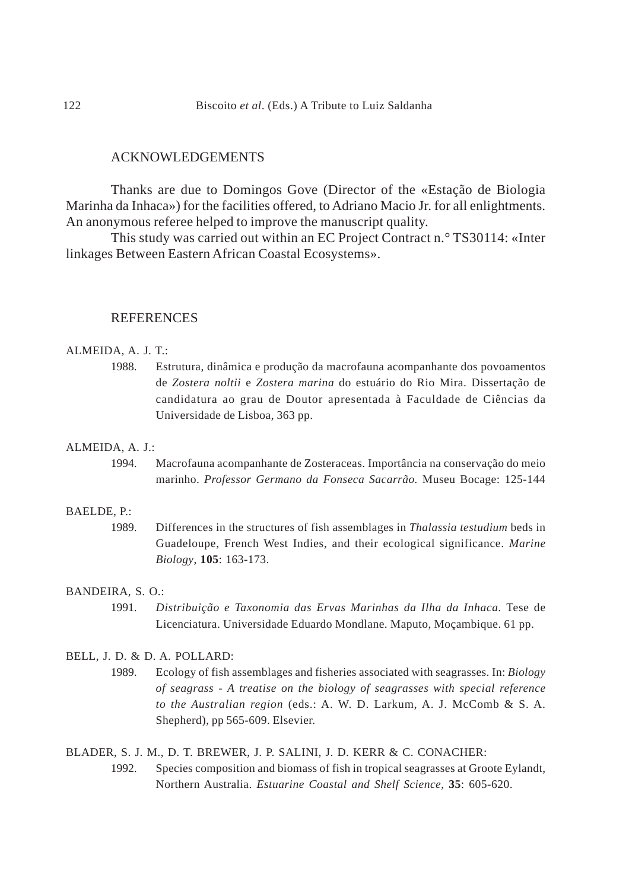# ACKNOWLEDGEMENTS

Thanks are due to Domingos Gove (Director of the «Estação de Biologia Marinha da Inhaca») for the facilities offered, to Adriano Macio Jr. for all enlightments. An anonymous referee helped to improve the manuscript quality.

This study was carried out within an EC Project Contract n.° TS30114: «Inter linkages Between Eastern African Coastal Ecosystems».

# **REFERENCES**

# ALMEIDA, A. J. T.:

1988. Estrutura, dinâmica e produção da macrofauna acompanhante dos povoamentos de *Zostera noltii* e *Zostera marina* do estuário do Rio Mira. Dissertação de candidatura ao grau de Doutor apresentada à Faculdade de Ciências da Universidade de Lisboa, 363 pp.

# ALMEIDA, A. J.:

1994. Macrofauna acompanhante de Zosteraceas. Importância na conservação do meio marinho. *Professor Germano da Fonseca Sacarrão.* Museu Bocage: 125-144

### BAELDE, P.:

1989. Differences in the structures of fish assemblages in *Thalassia testudium* beds in Guadeloupe, French West Indies, and their ecological significance. *Marine Biology*, **105**: 163-173.

# BANDEIRA, S. O.:

1991. *Distribuição e Taxonomia das Ervas Marinhas da Ilha da Inhaca.* Tese de Licenciatura. Universidade Eduardo Mondlane. Maputo, Moçambique. 61 pp.

### BELL, J. D. & D. A. POLLARD:

1989. Ecology of fish assemblages and fisheries associated with seagrasses. In: *Biology of seagrass - A treatise on the biology of seagrasses with special reference to the Australian region* (eds.: A. W. D. Larkum, A. J. McComb & S. A. Shepherd), pp 565-609. Elsevier.

BLADER, S. J. M., D. T. BREWER, J. P. SALINI, J. D. KERR & C. CONACHER:

1992. Species composition and biomass of fish in tropical seagrasses at Groote Eylandt, Northern Australia. *Estuarine Coastal and Shelf Science*, **35**: 605-620.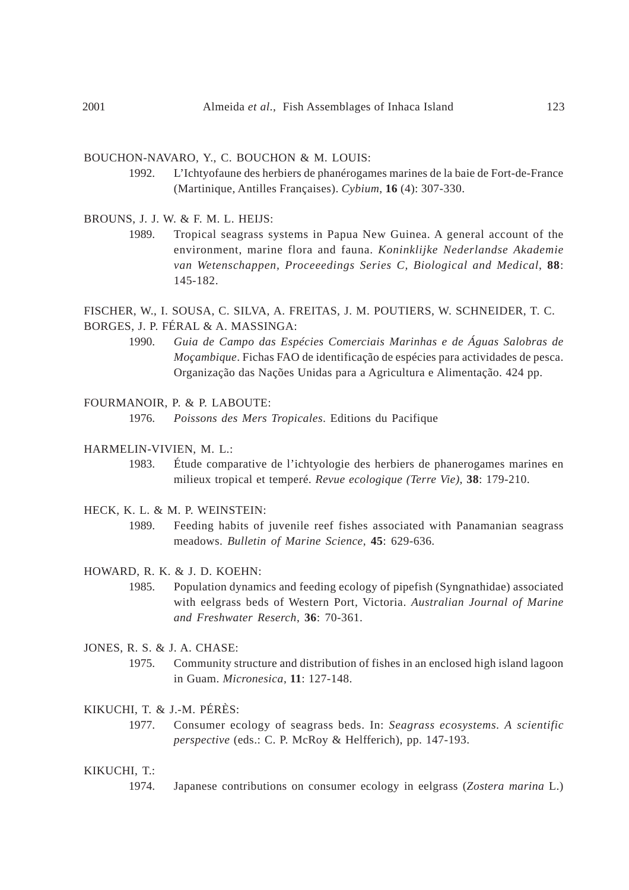#### BOUCHON-NAVARO, Y., C. BOUCHON & M. LOUIS:

- 1992. L'Ichtyofaune des herbiers de phanérogames marines de la baie de Fort-de-France (Martinique, Antilles Françaises). *Cybium*, **16** (4): 307-330.
- BROUNS, J. J. W. & F. M. L. HEIJS:
	- 1989. Tropical seagrass systems in Papua New Guinea. A general account of the environment, marine flora and fauna. *Koninklijke Nederlandse Akademie van Wetenschappen, Proceeedings Series C, Biological and Medical*, **88**: 145-182.

FISCHER, W., I. SOUSA, C. SILVA, A. FREITAS, J. M. POUTIERS, W. SCHNEIDER, T. C. BORGES, J. P. FÉRAL & A. MASSINGA:

1990. *Guia de Campo das Espécies Comerciais Marinhas e de Águas Salobras de Moçambique*. Fichas FAO de identificação de espécies para actividades de pesca. Organização das Nações Unidas para a Agricultura e Alimentação. 424 pp.

#### FOURMANOIR, P. & P. LABOUTE:

1976. *Poissons des Mers Tropicales*. Editions du Pacifique

- HARMELIN-VIVIEN, M. L.:
	- 1983. Étude comparative de l'ichtyologie des herbiers de phanerogames marines en milieux tropical et temperé. *Revue ecologique (Terre Vie)*, **38**: 179-210.
- HECK, K. L. & M. P. WEINSTEIN:
	- 1989. Feeding habits of juvenile reef fishes associated with Panamanian seagrass meadows. *Bulletin of Marine Science*, **45**: 629-636.
- HOWARD, R. K. & J. D. KOEHN:
	- 1985. Population dynamics and feeding ecology of pipefish (Syngnathidae) associated with eelgrass beds of Western Port, Victoria. *Australian Journal of Marine and Freshwater Reserch*, **36**: 70-361.
- JONES, R. S. & J. A. CHASE:
	- 1975. Community structure and distribution of fishes in an enclosed high island lagoon in Guam. *Micronesica*, **11**: 127-148.

KIKUCHI, T. & J.-M. PÉRÈS:

1977. Consumer ecology of seagrass beds. In: *Seagrass ecosystems. A scientific perspective* (eds.: C. P. McRoy & Helfferich), pp. 147-193.

#### KIKUCHI, T.:

1974. Japanese contributions on consumer ecology in eelgrass (*Zostera marina* L.)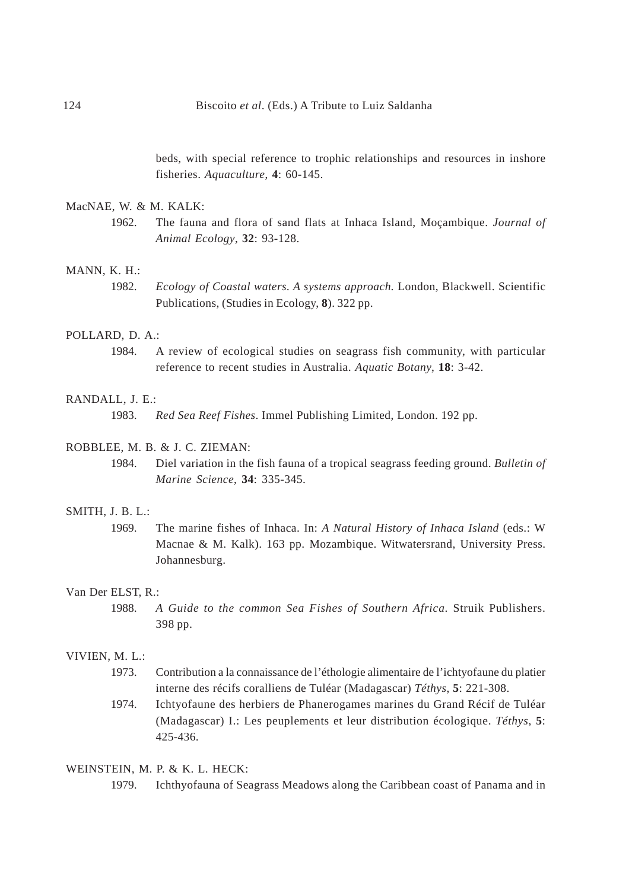beds, with special reference to trophic relationships and resources in inshore fisheries. *Aquaculture*, **4**: 60-145.

### MacNAE, W. & M. KALK:

1962. The fauna and flora of sand flats at Inhaca Island, Moçambique. *Journal of Animal Ecology*, **32**: 93-128.

#### MANN, K. H.:

1982. *Ecology of Coastal waters. A systems approach.* London, Blackwell. Scientific Publications, (Studies in Ecology, **8**). 322 pp.

#### POLLARD, D. A.:

1984. A review of ecological studies on seagrass fish community, with particular reference to recent studies in Australia. *Aquatic Botany*, **18**: 3-42.

#### RANDALL, J. E.:

1983. *Red Sea Reef Fishes*. Immel Publishing Limited, London. 192 pp.

### ROBBLEE, M. B. & J. C. ZIEMAN:

1984. Diel variation in the fish fauna of a tropical seagrass feeding ground. *Bulletin of Marine Science*, **34**: 335-345.

#### SMITH, J. B. L.:

1969. The marine fishes of Inhaca. In: *A Natural History of Inhaca Island* (eds.: W Macnae & M. Kalk). 163 pp. Mozambique. Witwatersrand, University Press. Johannesburg.

#### Van Der ELST, R.:

1988. *A Guide to the common Sea Fishes of Southern Africa*. Struik Publishers. 398 pp.

### VIVIEN, M. L.:

- 1973. Contribution a la connaissance de l'éthologie alimentaire de l'ichtyofaune du platier interne des récifs coralliens de Tuléar (Madagascar) *Téthys*, **5**: 221-308.
- 1974. Ichtyofaune des herbiers de Phanerogames marines du Grand Récif de Tuléar (Madagascar) I.: Les peuplements et leur distribution écologique. *Téthys*, **5**: 425-436.

### WEINSTEIN, M. P. & K. L. HECK:

1979. Ichthyofauna of Seagrass Meadows along the Caribbean coast of Panama and in